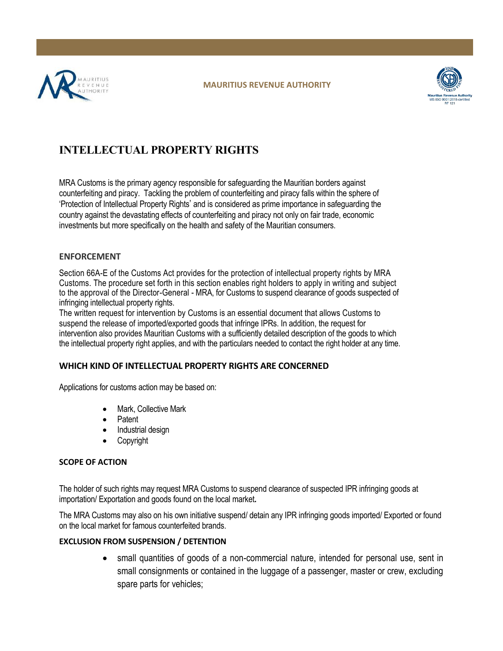



# **INTELLECTUAL PROPERTY RIGHTS**

MRA Customs is the primary agency responsible for safeguarding the Mauritian borders against counterfeiting and piracy. Tackling the problem of counterfeiting and piracy falls within the sphere of 'Protection of Intellectual Property Rights' and is considered as prime importance in safeguarding the country against the devastating effects of counterfeiting and piracy not only on fair trade, economic investments but more specifically on the health and safety of the Mauritian consumers.

## **ENFORCEMENT**

Section 66A-E of the Customs Act provides for the protection of intellectual property rights by MRA Customs. The procedure set forth in this section enables right holders to apply in writing and subject to the approval of the Director-General - MRA, for Customs to suspend clearance of goods suspected of infringing intellectual property rights.

The written request for intervention by Customs is an essential document that allows Customs to suspend the release of imported/exported goods that infringe IPRs. In addition, the request for intervention also provides Mauritian Customs with a sufficiently detailed description of the goods to which the intellectual property right applies, and with the particulars needed to contact the right holder at any time.

# **WHICH KIND OF INTELLECTUAL PROPERTY RIGHTS ARE CONCERNED**

Applications for customs action may be based on:

- Mark, Collective Mark
- Patent
- Industrial design
- Copyright

# **SCOPE OF ACTION**

The holder of such rights may request MRA Customs to suspend clearance of suspected IPR infringing goods at importation/ Exportation and goods found on the local market**.**

The MRA Customs may also on his own initiative suspend/ detain any IPR infringing goods imported/ Exported or found on the local market for famous counterfeited brands.

# **EXCLUSION FROM SUSPENSION / DETENTION**

• small quantities of goods of a non-commercial nature, intended for personal use, sent in small consignments or contained in the luggage of a passenger, master or crew, excluding spare parts for vehicles;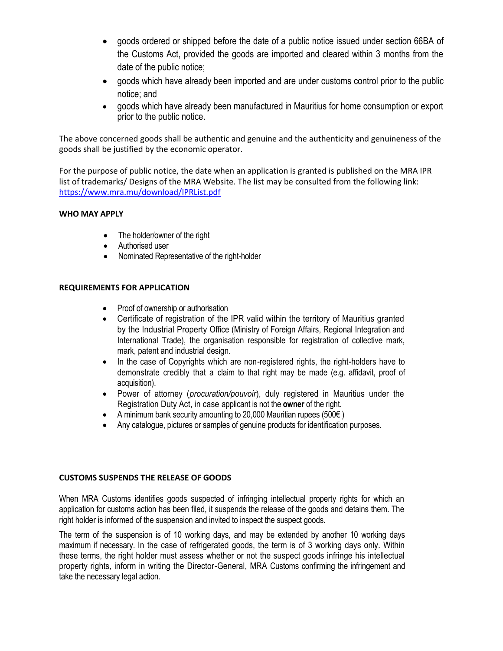- goods ordered or shipped before the date of a public notice issued under section 66BA of the Customs Act, provided the goods are imported and cleared within 3 months from the date of the public notice;
- goods which have already been imported and are under customs control prior to the public notice; and
- goods which have already been manufactured in Mauritius for home consumption or export prior to the public notice.

The above concerned goods shall be authentic and genuine and the authenticity and genuineness of the goods shall be justified by the economic operator.

For the purpose of public notice, the date when an application is granted is published on the MRA IPR list of trademarks/ Designs of the MRA Website. The list may be consulted from the following link: <https://www.mra.mu/download/IPRList.pdf>

### **WHO MAY APPLY**

- The holder/owner of the right
- Authorised user
- Nominated Representative of the right-holder

### **REQUIREMENTS FOR APPLICATION**

- Proof of ownership or authorisation
- Certificate of registration of the IPR valid within the territory of Mauritius granted by the Industrial Property Office (Ministry of Foreign Affairs, Regional Integration and International Trade), the organisation responsible for registration of collective mark, mark, patent and industrial design.
- In the case of Copyrights which are non-registered rights, the right-holders have to demonstrate credibly that a claim to that right may be made (e.g. affidavit, proof of acquisition).
- Power of attorney (*procuration/pouvoir*), duly registered in Mauritius under the Registration Duty Act, in case applicant is not the **owner** of the right.
- A minimum bank security amounting to 20,000 Mauritian rupees (500 $\epsilon$ )
- Any catalogue, pictures or samples of genuine products for identification purposes.

### **CUSTOMS SUSPENDS THE RELEASE OF GOODS**

When MRA Customs identifies goods suspected of infringing intellectual property rights for which an application for customs action has been filed, it suspends the release of the goods and detains them. The right holder is informed of the suspension and invited to inspect the suspect goods.

The term of the suspension is of 10 working days, and may be extended by another 10 working days maximum if necessary. In the case of refrigerated goods, the term is of 3 working days only. Within these terms, the right holder must assess whether or not the suspect goods infringe his intellectual property rights, inform in writing the Director-General, MRA Customs confirming the infringement and take the necessary legal action.